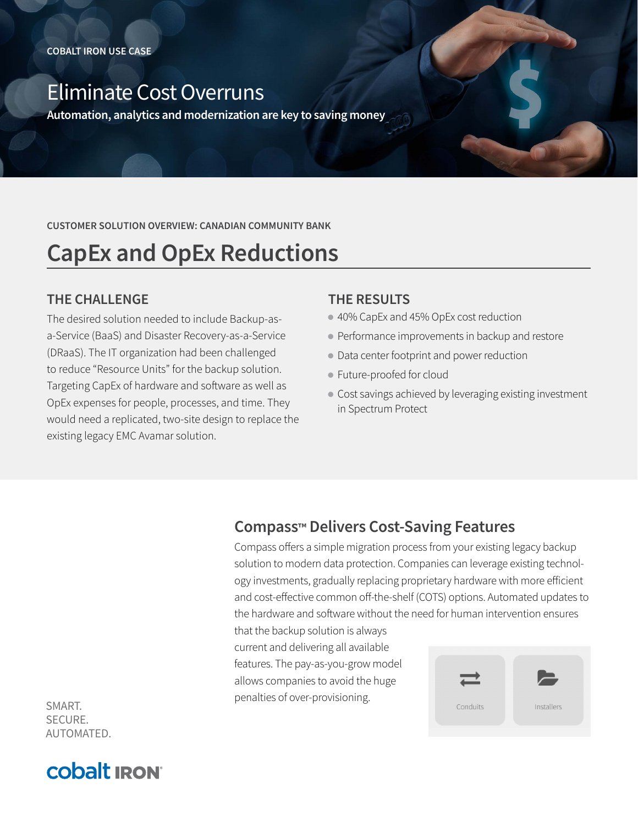## Eliminate Cost Overruns

**Automation, analytics and modernization are key to saving money**

**CUSTOMER SOLUTION OVERVIEW: CANADIAN COMMUNITY BANK**

# **CapEx and OpEx Reductions**

#### **THE CHALLENGE**

The desired solution needed to include Backup-asa-Service (BaaS) and Disaster Recovery-as-a-Service (DRaaS). The IT organization had been challenged to reduce "Resource Units" for the backup solution. Targeting CapEx of hardware and software as well as OpEx expenses for people, processes, and time. They would need a replicated, two-site design to replace the existing legacy EMC Avamar solution.

#### **THE RESULTS**

- 40% CapEx and 45% OpEx cost reduction
- Performance improvements in backup and restore
- Data center footprint and power reduction
- Future-proofed for cloud
- Cost savings achieved by leveraging existing investment in Spectrum Protect

### **Compass™ Delivers Cost-Saving Features**

Compass offers a simple migration process from your existing legacy backup solution to modern data protection. Companies can leverage existing technology investments, gradually replacing proprietary hardware with more efficient and cost-effective common off-the-shelf (COTS) options. Automated updates to the hardware and software without the need for human intervention ensures

that the backup solution is always current and delivering all available features. The pay-as-you-grow model allows companies to avoid the huge penalties of over-provisioning.



SMART. SECURE. AUTOMATED.